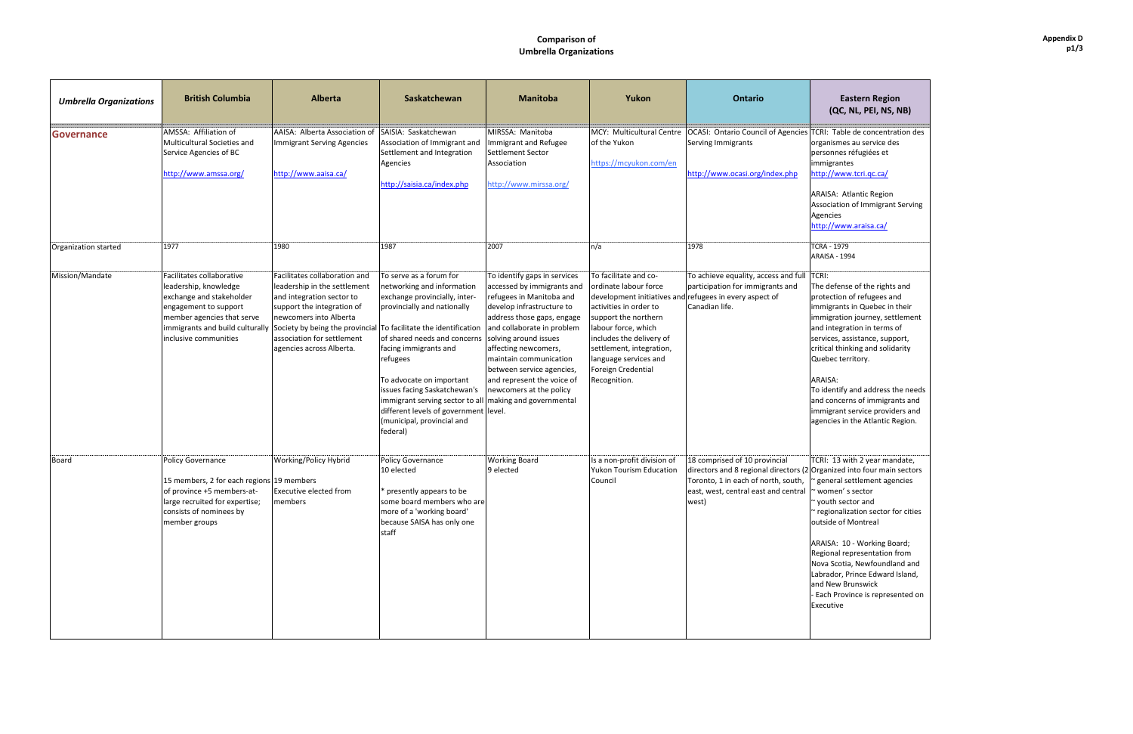### **Comparison of Umbrella\*Organizations\***

# **(QC,\*NL,\*PEI,\*NS,\*NB)**

Table de concentration des smes au service des nnes réfugiées et rantes www.tcri.qc.ca/

A: Atlantic Region ation of Immigrant Serving ies www.araisa.ca/

fense of the rights and tion of refugees and rants in Quebec in their ration journey, settlement tegration in terms of es, assistance, support, I thinking and solidarity ec territory.

#### A:

ntify and address the needs  $\overline{\phantom{a}}$  of immigrants and rant service providers and es in the Atlantic Region.

THE TRIM ISSEE TRIM THE TRIM ISSEED TO A 13 WITH THE TRIM ISSEED TO A 13 YO MALE. ized into four main sectors ral settlement agencies en' s sector h sector and onalization sector for cities e of Montreal

A: 10 - Working Board; hal representation from Scotia, Newfoundland and lor, Prince Edward Island, ew Brunswick Province is represented on

ive

| <b>Umbrella Organizations</b> | <b>British Columbia</b>                                                                                                                                                                           | <b>Alberta</b>                                                                                                                                                                                                                                                                   | Saskatchewan                                                                                                                                                                                                                                                                                                                                                                 | <b>Manitoba</b>                                                                                                                                                                                                                                                                                                                                                             | Yukon                                                                                                                                                                                                                                          | <b>Ontario</b>                                                                                                                                                                            | <b>Eastern Region</b><br>(QC, NL, PEI, NS, N                                                                                                                                                                                                                                                                                                                                             |
|-------------------------------|---------------------------------------------------------------------------------------------------------------------------------------------------------------------------------------------------|----------------------------------------------------------------------------------------------------------------------------------------------------------------------------------------------------------------------------------------------------------------------------------|------------------------------------------------------------------------------------------------------------------------------------------------------------------------------------------------------------------------------------------------------------------------------------------------------------------------------------------------------------------------------|-----------------------------------------------------------------------------------------------------------------------------------------------------------------------------------------------------------------------------------------------------------------------------------------------------------------------------------------------------------------------------|------------------------------------------------------------------------------------------------------------------------------------------------------------------------------------------------------------------------------------------------|-------------------------------------------------------------------------------------------------------------------------------------------------------------------------------------------|------------------------------------------------------------------------------------------------------------------------------------------------------------------------------------------------------------------------------------------------------------------------------------------------------------------------------------------------------------------------------------------|
| <b>Governance</b>             | AMSSA: Affiliation of<br>Multicultural Societies and<br>Service Agencies of BC<br>http://www.amssa.org/                                                                                           | AAISA: Alberta Association of<br><b>Immigrant Serving Agencies</b><br>http://www.aaisa.ca/                                                                                                                                                                                       | SAISIA: Saskatchewan<br>Association of Immigrant and<br>Settlement and Integration<br>Agencies<br>http://saisia.ca/index.php                                                                                                                                                                                                                                                 | MIRSSA: Manitoba<br>Immigrant and Refugee<br>Settlement Sector<br>Association<br>http://www.mirssa.org/                                                                                                                                                                                                                                                                     | of the Yukon<br>https://mcyukon.com/en                                                                                                                                                                                                         | MCY: Multicultural Centre   OCASI: Ontario Council of Agencies   TCRI: Table de concentrati<br>Serving Immigrants<br>http://www.ocasi.org/index.php                                       | organismes au service des<br>personnes réfugiées et<br>immigrantes<br>http://www.tcri.qc.ca/<br>ARAISA: Atlantic Region<br>Association of Immigrant S<br>Agencies<br>http://www.araisa.ca/                                                                                                                                                                                               |
| Organization started          | 1977                                                                                                                                                                                              | 1980                                                                                                                                                                                                                                                                             | 1987                                                                                                                                                                                                                                                                                                                                                                         | 2007                                                                                                                                                                                                                                                                                                                                                                        | n/a                                                                                                                                                                                                                                            | 1978                                                                                                                                                                                      | <b>TCRA - 1979</b><br><b>ARAISA - 1994</b>                                                                                                                                                                                                                                                                                                                                               |
| Mission/Mandate               | Facilitates collaborative<br>leadership, knowledge<br>exchange and stakeholder<br>engagement to support<br>member agencies that serve<br>immigrants and build culturally<br>inclusive communities | Facilitates collaboration and<br>leadership in the settlement<br>and integration sector to<br>support the integration of<br>newcomers into Alberta<br>Society by being the provincial To facilitate the identification<br>association for settlement<br>agencies across Alberta. | To serve as a forum for<br>networking and information<br>exchange provincially, inter-<br>provincially and nationally<br>of shared needs and concerns<br>facing immigrants and<br>refugees<br>To advocate on important<br>issues facing Saskatchewan's<br>immigrant serving sector to all<br>different levels of government level.<br>(municipal, provincial and<br>federal) | To identify gaps in services<br>accessed by immigrants and<br>refugees in Manitoba and<br>develop infrastructure to<br>address those gaps, engage<br>and collaborate in problem<br>solving around issues<br>affecting newcomers,<br>maintain communication<br>between service agencies,<br>and represent the voice of<br>newcomers at the policy<br>making and governmental | To facilitate and co-<br>ordinate labour force<br>activities in order to<br>support the northern<br>labour force, which<br>includes the delivery of<br>settlement, integration,<br>language services and<br>Foreign Credential<br>Recognition. | To achieve equality, access and full<br>participation for immigrants and<br>development initiatives and refugees in every aspect of<br>Canadian life.                                     | TCRI:<br>The defense of the rights a<br>protection of refugees and<br>immigrants in Quebec in th<br>immigration journey, settle<br>and integration in terms of<br>services, assistance, suppo<br>critical thinking and solidar<br>Quebec territory.<br>ARAISA:<br>To identify and address the<br>and concerns of immigrant<br>immigrant service provider<br>agencies in the Atlantic Reg |
| Board                         | Policy Governance<br>15 members, 2 for each regions 19 members<br>of province +5 members-at-<br>large recruited for expertise;<br>consists of nominees by<br>member groups                        | Working/Policy Hybrid<br><b>Executive elected from</b><br>members                                                                                                                                                                                                                | Policy Governance<br>10 elected<br>* presently appears to be<br>some board members who are<br>more of a 'working board'<br>because SAISA has only one<br>staff                                                                                                                                                                                                               | <b>Working Board</b><br>9 elected                                                                                                                                                                                                                                                                                                                                           | Is a non-profit division of<br><b>Yukon Tourism Education</b><br>Council                                                                                                                                                                       | 18 comprised of 10 provincial<br>directors and 8 regional directors (2 Organized into four main s<br>Toronto, 1 in each of north, south,<br>east, west, central east and central<br>west) | TCRI: 13 with 2 year mand<br>' general settlement agend<br>~ women's sector<br>~ youth sector and<br>~ regionalization sector for<br>outside of Montreal<br>ARAISA: 10 - Working Boar<br>Regional representation fro<br>Nova Scotia, Newfoundlan<br>Labrador, Prince Edward Is<br>and New Brunswick<br>Each Province is represen<br>Executive                                            |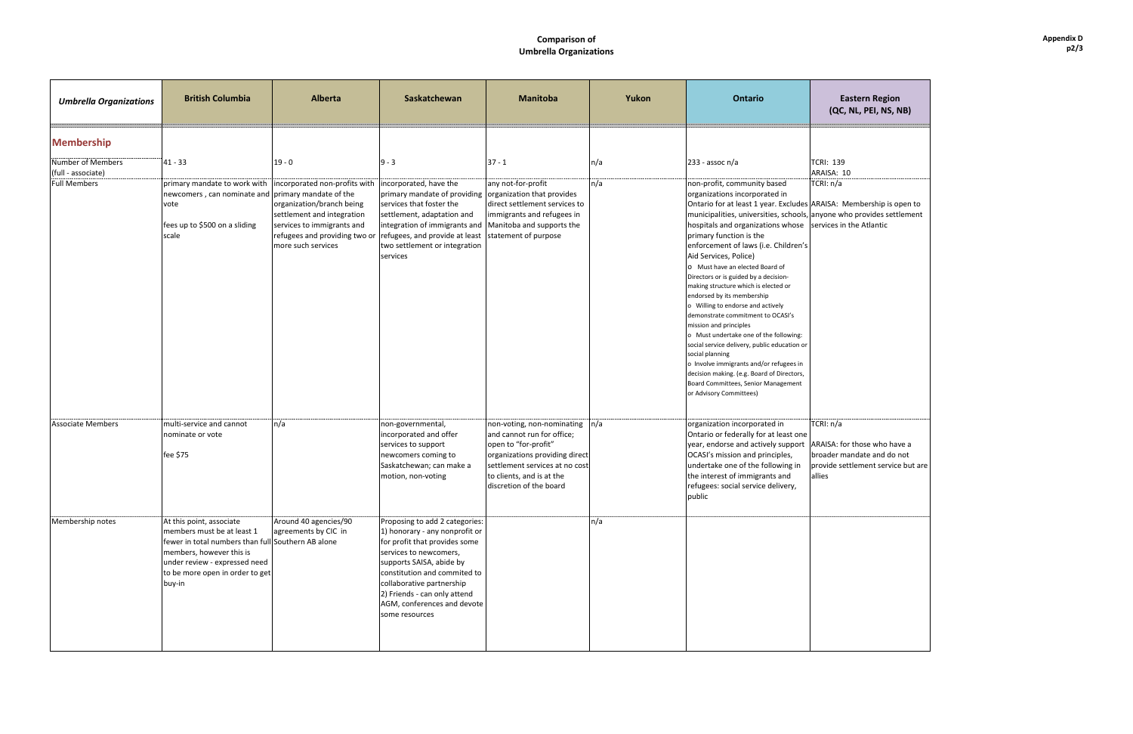| <b>Eastern Region</b><br>(QC, NL, PEI, NS, NB)                                                             |  |  |  |  |  |  |
|------------------------------------------------------------------------------------------------------------|--|--|--|--|--|--|
|                                                                                                            |  |  |  |  |  |  |
| TCRI: 139<br>ARAISA: 10<br>TCRI: n/a                                                                       |  |  |  |  |  |  |
| ARAISA: Membership is open to<br>anyone who provides settlement<br>services in the Atlantic                |  |  |  |  |  |  |
|                                                                                                            |  |  |  |  |  |  |
|                                                                                                            |  |  |  |  |  |  |
|                                                                                                            |  |  |  |  |  |  |
|                                                                                                            |  |  |  |  |  |  |
|                                                                                                            |  |  |  |  |  |  |
| TCRI: n/a                                                                                                  |  |  |  |  |  |  |
| ARAISA: for those who have a<br>broader mandate and do not<br>provide settlement service but are<br>allies |  |  |  |  |  |  |
|                                                                                                            |  |  |  |  |  |  |
|                                                                                                            |  |  |  |  |  |  |
|                                                                                                            |  |  |  |  |  |  |
|                                                                                                            |  |  |  |  |  |  |
|                                                                                                            |  |  |  |  |  |  |

## **Comparison of Umbrella Organizations**

| <b>Umbrella Organizations</b>             | <b>British Columbia</b>                                                                                                                                                                                                | <b>Alberta</b>                                                                                                                                                                | Saskatchewan                                                                                                                                                                                                                                                                                          | <b>Manitoba</b>                                                                                                                                                                                              | Yukon | <b>Ontario</b>                                                                                                                                                                                                                                                                                                                                                                                                                                                                                                                                                                                                                                                                                                                                                                                                                                                      | <b>Eastern Region</b><br>(QC, NL, PEI, NS, NE                                                                  |
|-------------------------------------------|------------------------------------------------------------------------------------------------------------------------------------------------------------------------------------------------------------------------|-------------------------------------------------------------------------------------------------------------------------------------------------------------------------------|-------------------------------------------------------------------------------------------------------------------------------------------------------------------------------------------------------------------------------------------------------------------------------------------------------|--------------------------------------------------------------------------------------------------------------------------------------------------------------------------------------------------------------|-------|---------------------------------------------------------------------------------------------------------------------------------------------------------------------------------------------------------------------------------------------------------------------------------------------------------------------------------------------------------------------------------------------------------------------------------------------------------------------------------------------------------------------------------------------------------------------------------------------------------------------------------------------------------------------------------------------------------------------------------------------------------------------------------------------------------------------------------------------------------------------|----------------------------------------------------------------------------------------------------------------|
| <b>Membership</b><br>Number of Members    | $41 - 33$                                                                                                                                                                                                              | $19 - 0$                                                                                                                                                                      | $9 - 3$                                                                                                                                                                                                                                                                                               | $37 - 1$                                                                                                                                                                                                     | n/a   | $233 - assoc n/a$                                                                                                                                                                                                                                                                                                                                                                                                                                                                                                                                                                                                                                                                                                                                                                                                                                                   | <b>TCRI: 139</b>                                                                                               |
| (full - associate)<br><b>Full Members</b> | primary mandate to work with<br>newcomers, can nominate and primary mandate of the<br>vote<br>fees up to \$500 on a sliding<br>scale                                                                                   | incorporated non-profits with<br>organization/branch being<br>settlement and integration<br>services to immigrants and<br>refugees and providing two or<br>more such services | incorporated, have the<br>primary mandate of providing organization that provides<br>services that foster the<br>settlement, adaptation and<br>integration of immigrants and<br>refugees, and provide at least<br>two settlement or integration<br>services                                           | any not-for-profit<br>direct settlement services to<br>immigrants and refugees in<br>Manitoba and supports the<br>statement of purpose                                                                       | n/a   | non-profit, community based<br>organizations incorporated in<br>Ontario for at least 1 year. Excludes ARAISA: Membership is ope<br>municipalities, universities, schools, anyone who provides settle<br>hospitals and organizations whose<br>primary function is the<br>enforcement of laws (i.e. Children's<br>Aid Services, Police)<br>O Must have an elected Board of<br>Directors or is guided by a decision-<br>making structure which is elected or<br>endorsed by its membership<br>o Willing to endorse and actively<br>demonstrate commitment to OCASI's<br>mission and principles<br>o Must undertake one of the following:<br>social service delivery, public education or<br>social planning<br>o Involve immigrants and/or refugees in<br>decision making. (e.g. Board of Directors,<br>Board Committees, Senior Management<br>or Advisory Committees) | ARAISA: 10<br>TCRI: n/a<br>services in the Atlantic                                                            |
| <b>Associate Members</b>                  | multi-service and cannot<br>nominate or vote<br>fee \$75                                                                                                                                                               | n/a                                                                                                                                                                           | non-governmental,<br>incorporated and offer<br>services to support<br>newcomers coming to<br>Saskatchewan; can make a<br>motion, non-voting                                                                                                                                                           | non-voting, non-nominating<br>and cannot run for office;<br>open to "for-profit"<br>organizations providing direct<br>settlement services at no cost<br>to clients, and is at the<br>discretion of the board | n/a   | organization incorporated in<br>Ontario or federally for at least one<br>year, endorse and actively support<br>OCASI's mission and principles,<br>undertake one of the following in<br>the interest of immigrants and<br>refugees: social service delivery,<br>public                                                                                                                                                                                                                                                                                                                                                                                                                                                                                                                                                                                               | TCRI: n/a<br>ARAISA: for those who have<br>broader mandate and do no<br>provide settlement service b<br>allies |
| Membership notes                          | At this point, associate<br>members must be at least 1<br>fewer in total numbers than full Southern AB alone<br>members, however this is<br>under review - expressed need<br>to be more open in order to get<br>buy-in | Around 40 agencies/90<br>agreements by CIC in                                                                                                                                 | Proposing to add 2 categories:<br>1) honorary - any nonprofit or<br>for profit that provides some<br>services to newcomers,<br>supports SAISA, abide by<br>constitution and commited to<br>collaborative partnership<br>2) Friends - can only attend<br>AGM, conferences and devote<br>some resources |                                                                                                                                                                                                              | n/a   |                                                                                                                                                                                                                                                                                                                                                                                                                                                                                                                                                                                                                                                                                                                                                                                                                                                                     |                                                                                                                |